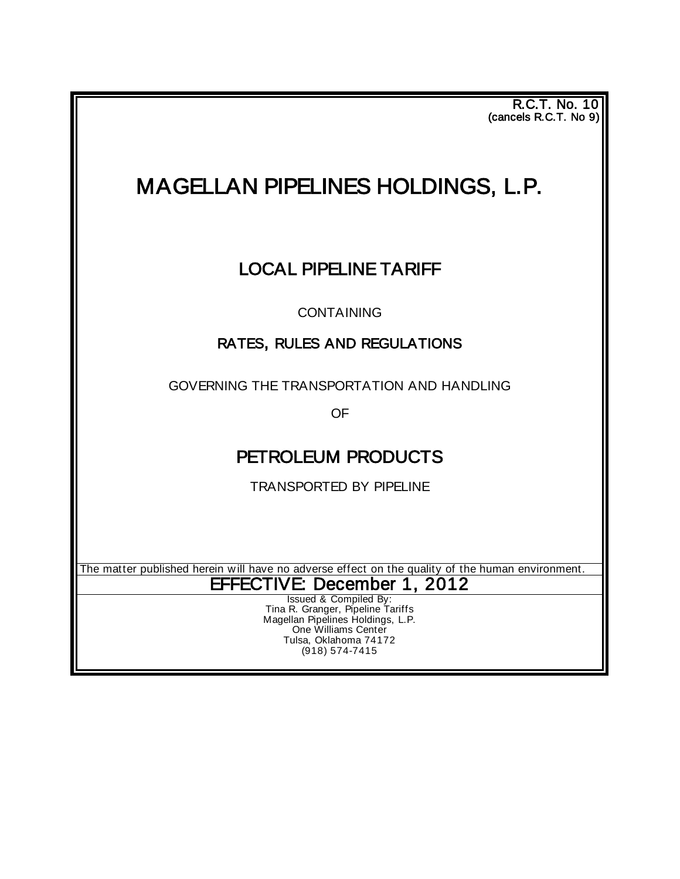**R.C.T. No. 10** (cancels R.C.T. No 9) 

# MAGELLAN PIPELINES HOLDINGS, L.P.

## LOCAL PIPELINE TARIFF

CONTAINING

### RATES, RULES AND REGULATIONS

GOVERNING THE TRANSPORTATION AND HANDLING

OF

### PETROLEUM PRODUCTS

TRANSPORTED BY PIPELINE

The matter published herein will have no adverse effect on the quality of the human environment.

EFFECTIVE: December 1, 2012

Tina R. Granger, Pipeline Tariffs Magellan Pipelines Holdings, L.P. One Williams Center Tulsa, Oklahoma 74172 (918) 574-7415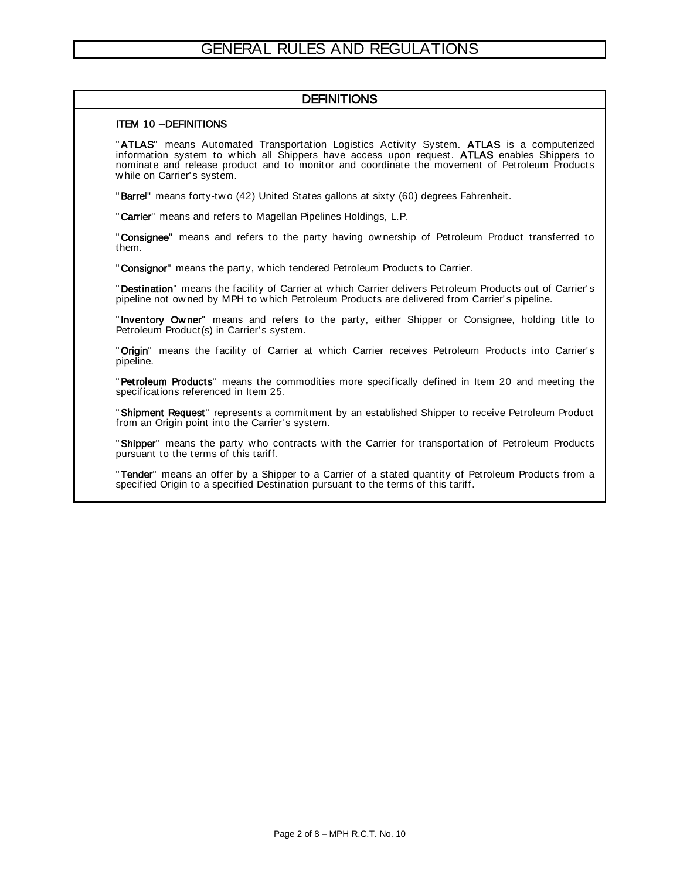#### **DEFINITIONS**

#### ITEM 10 –DEFINITIONS

"ATLAS" means Automated Transportation Logistics Activity System. ATLAS is a computerized information system to which all Shippers have access upon request. ATLAS enables Shippers to nominate and release product and to monitor and coordinate the movement of Petroleum Products while on Carrier's system.

"Barrel" means forty-two (42) United States gallons at sixty (60) degrees Fahrenheit.

"Carrier" means and refers to Magellan Pipelines Holdings, L.P.

"Consignee" means and refers to the party having ownership of Petroleum Product transferred to them.

"Consignor" means the party, which tendered Petroleum Products to Carrier.

"Destination" means the facility of Carrier at which Carrier delivers Petroleum Products out of Carrier's pipeline not owned by MPH to which Petroleum Products are delivered from Carrier's pipeline.

"Inventory Owner" means and refers to the party, either Shipper or Consignee, holding title to Petroleum Product(s) in Carrier's system.

"Origin" means the facility of Carrier at which Carrier receives Petroleum Products into Carrier's pipeline.

"Petroleum Products" means the commodities more specifically defined in Item 20 and meeting the specifications referenced in Item 25.

"Shipment Request" represents a commitment by an established Shipper to receive Petroleum Product from an Origin point into the Carrier's system.

"Shipper" means the party who contracts with the Carrier for transportation of Petroleum Products pursuant to the terms of this tariff.

"Tender" means an offer by a Shipper to a Carrier of a stated quantity of Petroleum Products from a specified Origin to a specified Destination pursuant to the terms of this tariff.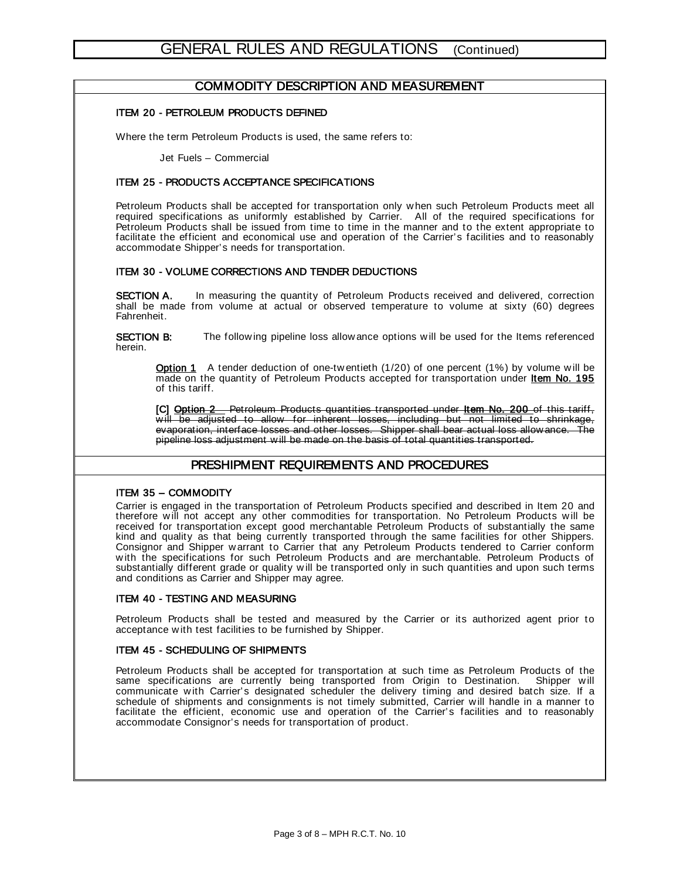#### COMMODITY DESCRIPTION AND MEASUREMENT

#### ITEM 20 - PETROLEUM PRODUCTS DEFINED

Where the term Petroleum Products is used, the same refers to:

Jet Fuels – Commercial

#### ITEM 25 - PRODUCTS ACCEPTANCE SPECIFICATIONS

Petroleum Products shall be accepted for transportation only w hen such Petroleum Products meet all required specifications as uniformly established by Carrier. All of the required specifications for Petroleum Products shall be issued from time to time in the manner and to the extent appropriate to facilitate the efficient and economical use and operation of the Carrier's facilities and to reasonably accommodate Shipper's needs for transportation.

#### ITEM 30 - VOLUME CORRECTIONS AND TENDER DEDUCTIONS

**SECTION A.** In measuring the quantity of Petroleum Products received and delivered, correction shall be made from volume at actual or observed temperature to volume at sixty (60) degrees Fahrenheit.

**SECTION B:** The following pipeline loss allow ance options will be used for the Items referenced herein.

Option 1 A tender deduction of one-tw entieth (1/20) of one percent (1%) by volume will be made on the quantity of Petroleum Products accepted for transportation under Item No. 195 of this tariff.

[C] Option 2 Petroleum Products quantities transported under Item No. 200 of this tariff, w ill be adjusted to allow for inherent losses, including but not limited to shrinkage, evaporation, interface losses and other losses. Shipper shall bear actual loss allow ance. The pipeline loss adjustment w ill be made on the basis of total quantities transported.

#### PRESHIPMENT REQUIREMENTS AND PROCEDURES

#### ITEM 35 – COMMODITY

Carrier is engaged in the transportation of Petroleum Products specified and described in Item 20 and therefore will not accept any other commodities for transportation. No Petroleum Products will be received for transportation except good merchantable Petroleum Products of substantially the same kind and quality as that being currently transported through the same facilities for other Shippers. Consignor and Shipper w arrant to Carrier that any Petroleum Products tendered to Carrier conform w ith the specifications for such Petroleum Products and are merchantable. Petroleum Products of substantially different grade or quality will be transported only in such quantities and upon such terms and conditions as Carrier and Shipper may agree.

#### ITEM 40 - TESTING AND MEASURING

Petroleum Products shall be tested and measured by the Carrier or its authorized agent prior to acceptance w ith test facilities to be furnished by Shipper.

#### ITEM 45 - SCHEDULING OF SHIPMENTS

Petroleum Products shall be accepted for transportation at such time as Petroleum Products of the same specifications are currently being transported from Origin to Destination. Shipper will communicate w ith Carrier's designated scheduler the delivery timing and desired batch size. If a schedule of shipments and consignments is not timely submitted, Carrier will handle in a manner to facilitate the efficient, economic use and operation of the Carrier's facilities and to reasonably accommodate Consignor's needs for transportation of product.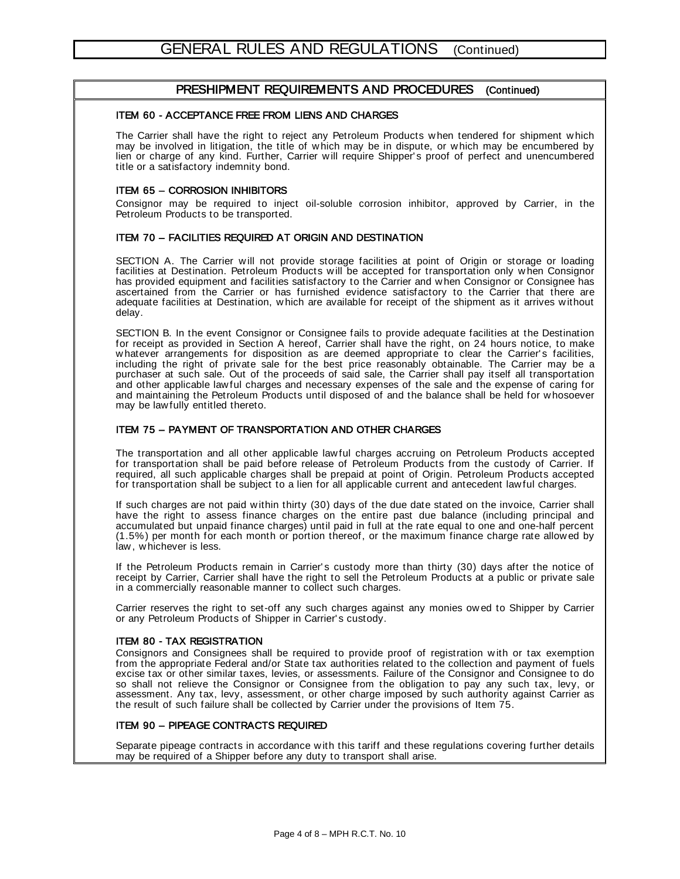#### PRESHIPMENT REQUIREMENTS AND PROCEDURES (Continued)

#### ITEM 60 - ACCEPTANCE FREE FROM LIENS AND CHARGES

The Carrier shall have the right to reject any Petroleum Products w hen tendered for shipment w hich may be involved in litigation, the title of w hich may be in dispute, or w hich may be encumbered by lien or charge of any kind. Further, Carrier w ill require Shipper' s proof of perfect and unencumbered title or a satisfactory indemnity bond.

#### ITEM 65 – CORROSION INHIBITORS

Consignor may be required to inject oil-soluble corrosion inhibitor, approved by Carrier, in the Petroleum Products to be transported.

#### ITEM 70 – FACILITIES REQUIRED AT ORIGIN AND DESTINATION

SECTION A. The Carrier will not provide storage facilities at point of Origin or storage or loading facilities at Destination. Petroleum Products w ill be accepted for transportation only w hen Consignor has provided equipment and facilities satisfactory to the Carrier and w hen Consignor or Consignee has ascertained from the Carrier or has furnished evidence satisfactory to the Carrier that there are adequate facilities at Destination, w hich are available for receipt of the shipment as it arrives w ithout delay.

SECTION B. In the event Consignor or Consignee fails to provide adequate facilities at the Destination for receipt as provided in Section A hereof, Carrier shall have the right, on 24 hours notice, to make whatever arrangements for disposition as are deemed appropriate to clear the Carrier's facilities, including the right of private sale for the best price reasonably obtainable. The Carrier may be a purchaser at such sale. Out of the proceeds of said sale, the Carrier shall pay itself all transportation and other applicable law ful charges and necessary expenses of the sale and the expense of caring for and maintaining the Petroleum Products until disposed of and the balance shall be held for w hosoever may be law fully entitled thereto.

#### ITEM 75 – PAYMENT OF TRANSPORTATION AND OTHER CHARGES

The transportation and all other applicable law ful charges accruing on Petroleum Products accepted for transportation shall be paid before release of Petroleum Products from the custody of Carrier. If required, all such applicable charges shall be prepaid at point of Origin. Petroleum Products accepted for transportation shall be subject to a lien for all applicable current and antecedent law ful charges.

If such charges are not paid within thirty (30) days of the due date stated on the invoice, Carrier shall have the right to assess finance charges on the entire past due balance (including principal and accumulated but unpaid finance charges) until paid in full at the rate equal to one and one-half percent (1.5%) per month for each month or portion thereof, or the maximum finance charge rate allow ed by law , w hichever is less.

If the Petroleum Products remain in Carrier' s custody more than thirty (30) days after the notice of receipt by Carrier, Carrier shall have the right to sell the Petroleum Products at a public or private sale in a commercially reasonable manner to collect such charges.

Carrier reserves the right to set-off any such charges against any monies ow ed to Shipper by Carrier or any Petroleum Products of Shipper in Carrier' s custody.

#### ITEM 80 - TAX REGISTRATION

Consignors and Consignees shall be required to provide proof of registration with or tax exemption from the appropriate Federal and/or State tax authorities related to the collection and payment of fuels excise tax or other similar taxes, levies, or assessments. Failure of the Consignor and Consignee to do so shall not relieve the Consignor or Consignee from the obligation to pay any such tax, levy, or assessment. Any tax, levy, assessment, or other charge imposed by such authority against Carrier as the result of such failure shall be collected by Carrier under the provisions of Item 75.

#### ITEM 90 – PIPEAGE CONTRACTS REQUIRED

Separate pipeage contracts in accordance with this tariff and these regulations covering further details may be required of a Shipper before any duty to transport shall arise.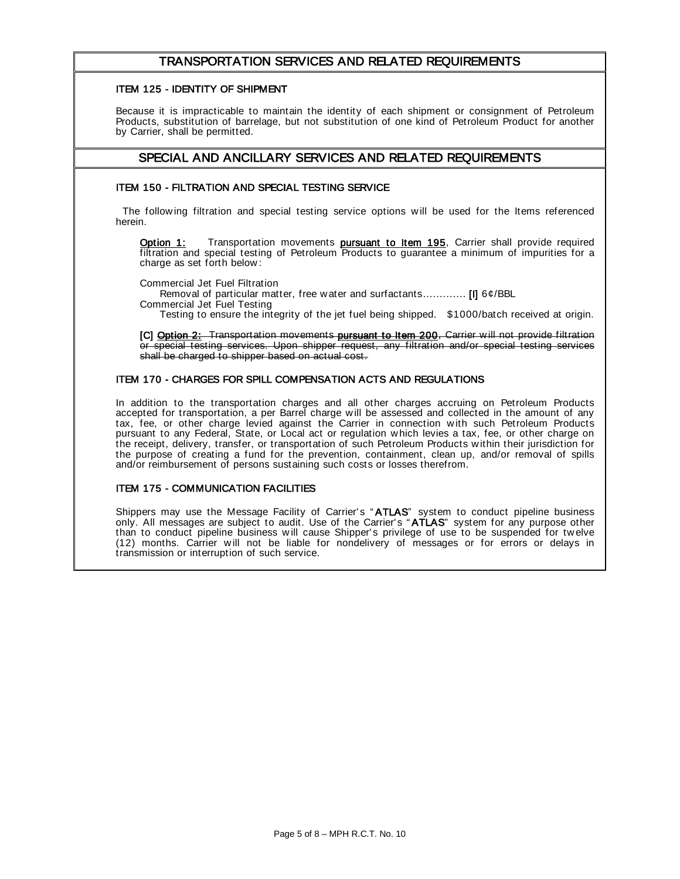#### TRANSPORTATION SERVICES AND RELATED REQUIREMENTS

#### ITEM 125 - IDENTITY OF SHIPMENT

Because it is impracticable to maintain the identity of each shipment or consignment of Petroleum Products, substitution of barrelage, but not substitution of one kind of Petroleum Product for another by Carrier, shall be permitted.

#### SPECIAL AND ANCILLARY SERVICES AND RELATED REQUIREMENTS

#### ITEM 150 - FILTRATION AND SPECIAL TESTING SERVICE

The following filtration and special testing service options will be used for the Items referenced herein.

Option 1: Transportation movements pursuant to Item 195, Carrier shall provide required filtration and special testing of Petroleum Products to guarantee a minimum of impurities for a charge as set forth below :

Commercial Jet Fuel Filtration

Removal of particular matter, free w ater and surfactants............. [I] 6¢/BBL Commercial Jet Fuel Testing

Testing to ensure the integrity of the jet fuel being shipped. \$1000/batch received at origin.

[C] Option 2: Transportation movements pursuant to Item 200, Carrier will not provide filtration or special testing services. Upon shipper request, any filtration and/or special testing services shall be charged to shipper based on actual cost.

#### ITEM 170 - CHARGES FOR SPILL COMPENSATION ACTS AND REGULATIONS

In addition to the transportation charges and all other charges accruing on Petroleum Products accepted for transportation, a per Barrel charge w ill be assessed and collected in the amount of any tax, fee, or other charge levied against the Carrier in connection with such Petroleum Products pursuant to any Federal, State, or Local act or regulation w hich levies a tax, fee, or other charge on the receipt, delivery, transfer, or transportation of such Petroleum Products w ithin their jurisdiction for the purpose of creating a fund for the prevention, containment, clean up, and/or removal of spills and/or reimbursement of persons sustaining such costs or losses therefrom.

#### ITEM 175 - COMMUNICATION FACILITIES

Shippers may use the Message Facility of Carrier's "ATLAS" system to conduct pipeline business only. All messages are subject to audit. Use of the Carrier's "ATLAS" system for any purpose other than to conduct pipeline business w ill cause Shipper' s privilege of use to be suspended for tw elve (12) months. Carrier w ill not be liable for nondelivery of messages or for errors or delays in transmission or interruption of such service.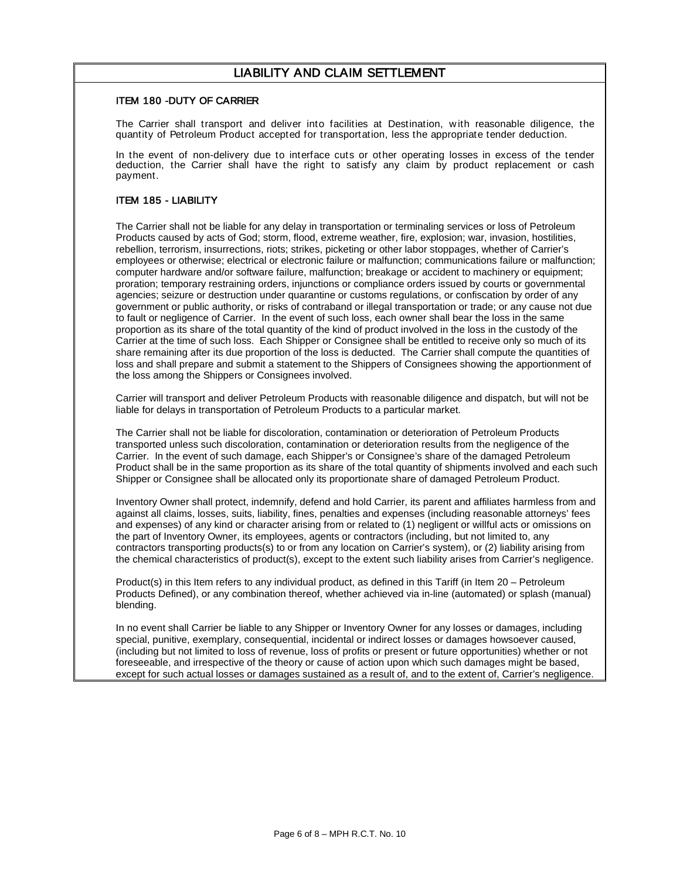#### LIABILITY AND CLAIM SETTLEMENT

#### ITEM 180 -DUTY OF CARRIER

The Carrier shall transport and deliver into facilities at Destination, w ith reasonable diligence, the quantity of Petroleum Product accepted for transportation, less the appropriate tender deduction.

In the event of non-delivery due to interface cuts or other operating losses in excess of the tender deduction, the Carrier shall have the right to satisfy any claim by product replacement or cash payment.

#### ITEM 185 - LIABILITY

The Carrier shall not be liable for any delay in transportation or terminaling services or loss of Petroleum Products caused by acts of God; storm, flood, extreme weather, fire, explosion; war, invasion, hostilities, rebellion, terrorism, insurrections, riots; strikes, picketing or other labor stoppages, whether of Carrier's employees or otherwise; electrical or electronic failure or malfunction; communications failure or malfunction; computer hardware and/or software failure, malfunction; breakage or accident to machinery or equipment; proration; temporary restraining orders, injunctions or compliance orders issued by courts or governmental agencies; seizure or destruction under quarantine or customs regulations, or confiscation by order of any government or public authority, or risks of contraband or illegal transportation or trade; or any cause not due to fault or negligence of Carrier. In the event of such loss, each owner shall bear the loss in the same proportion as its share of the total quantity of the kind of product involved in the loss in the custody of the Carrier at the time of such loss. Each Shipper or Consignee shall be entitled to receive only so much of its share remaining after its due proportion of the loss is deducted. The Carrier shall compute the quantities of loss and shall prepare and submit a statement to the Shippers of Consignees showing the apportionment of the loss among the Shippers or Consignees involved.

Carrier will transport and deliver Petroleum Products with reasonable diligence and dispatch, but will not be liable for delays in transportation of Petroleum Products to a particular market.

The Carrier shall not be liable for discoloration, contamination or deterioration of Petroleum Products transported unless such discoloration, contamination or deterioration results from the negligence of the Carrier. In the event of such damage, each Shipper's or Consignee's share of the damaged Petroleum Product shall be in the same proportion as its share of the total quantity of shipments involved and each such Shipper or Consignee shall be allocated only its proportionate share of damaged Petroleum Product.

Inventory Owner shall protect, indemnify, defend and hold Carrier, its parent and affiliates harmless from and against all claims, losses, suits, liability, fines, penalties and expenses (including reasonable attorneys' fees and expenses) of any kind or character arising from or related to (1) negligent or willful acts or omissions on the part of Inventory Owner, its employees, agents or contractors (including, but not limited to, any contractors transporting products(s) to or from any location on Carrier's system), or (2) liability arising from the chemical characteristics of product(s), except to the extent such liability arises from Carrier's negligence.

Product(s) in this Item refers to any individual product, as defined in this Tariff (in Item 20 – Petroleum Products Defined), or any combination thereof, whether achieved via in-line (automated) or splash (manual) blending.

In no event shall Carrier be liable to any Shipper or Inventory Owner for any losses or damages, including special, punitive, exemplary, consequential, incidental or indirect losses or damages howsoever caused, (including but not limited to loss of revenue, loss of profits or present or future opportunities) whether or not foreseeable, and irrespective of the theory or cause of action upon which such damages might be based, except for such actual losses or damages sustained as a result of, and to the extent of, Carrier's negligence.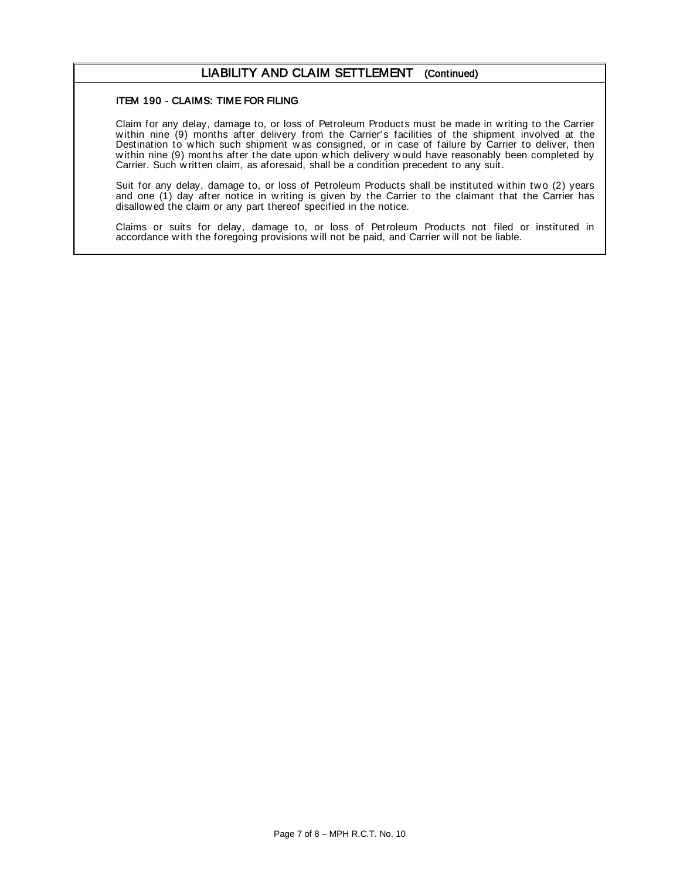#### LIABILITY AND CLAIM SETTLEMENT (Continued)

#### ITEM 190 - CLAIMS: TIME FOR FILING

Claim for any delay, damage to, or loss of Petroleum Products must be made in w riting to the Carrier w ithin nine (9) months after delivery from the Carrier' s facilities of the shipment involved at the Destination to which such shipment was consigned, or in case of failure by Carrier to deliver, then w ithin nine (9) months after the date upon w hich delivery w ould have reasonably been completed by Carrier. Such w ritten claim, as aforesaid, shall be a condition precedent to any suit.

Suit for any delay, damage to, or loss of Petroleum Products shall be instituted within two (2) years and one (1) day after notice in w riting is given by the Carrier to the claimant that the Carrier has disallow ed the claim or any part thereof specified in the notice.

Claims or suits for delay, damage to, or loss of Petroleum Products not filed or instituted in accordance with the foregoing provisions will not be paid, and Carrier will not be liable.